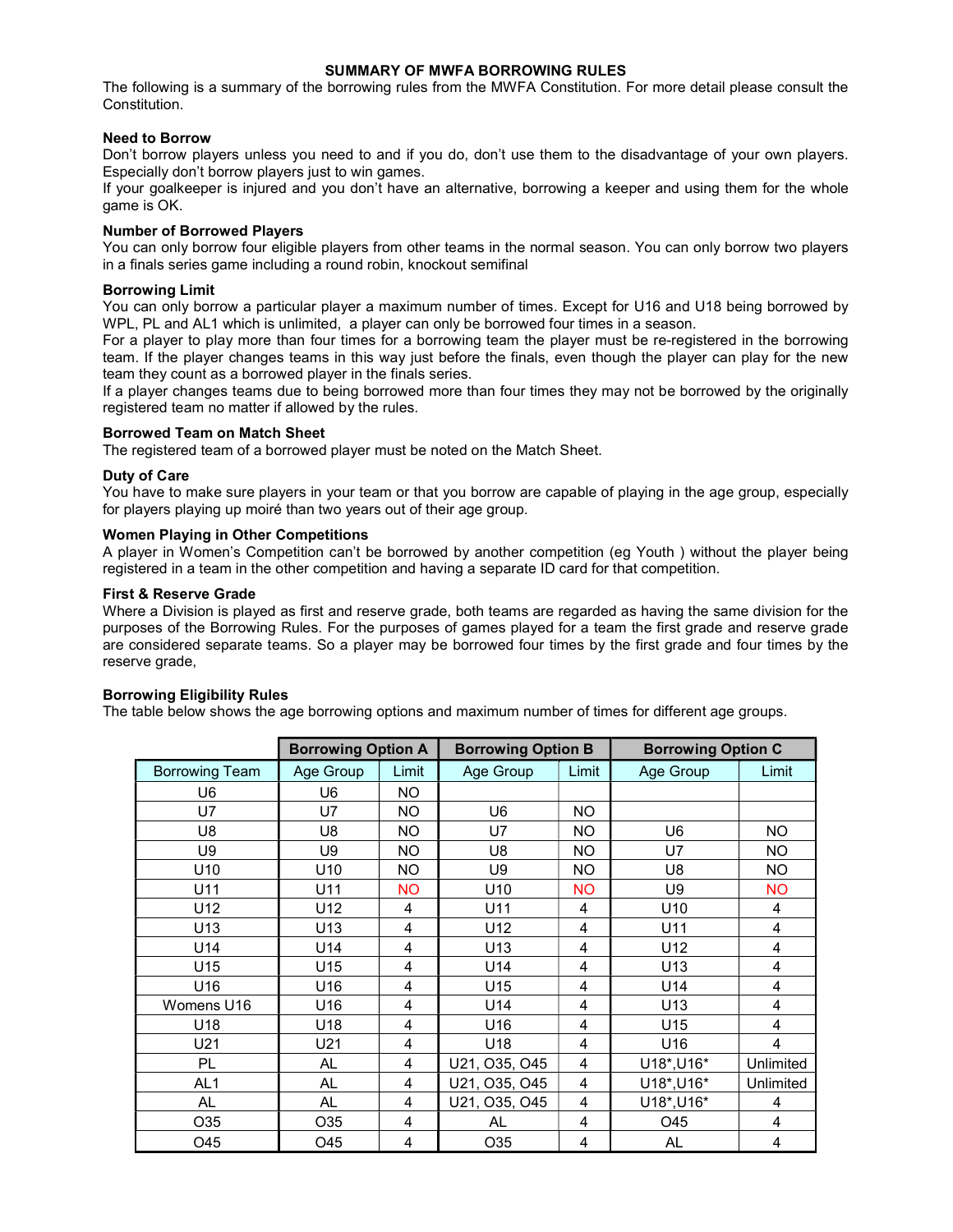## SUMMARY OF MWFA BORROWING RULES

The following is a summary of the borrowing rules from the MWFA Constitution. For more detail please consult the Constitution.

## Need to Borrow

Don't borrow players unless you need to and if you do, don't use them to the disadvantage of your own players. Especially don't borrow players just to win games.

If your goalkeeper is injured and you don't have an alternative, borrowing a keeper and using them for the whole game is OK.

### Number of Borrowed Players

You can only borrow four eligible players from other teams in the normal season. You can only borrow two players in a finals series game including a round robin, knockout semifinal

### Borrowing Limit

You can only borrow a particular player a maximum number of times. Except for U16 and U18 being borrowed by WPL, PL and AL1 which is unlimited, a player can only be borrowed four times in a season.

For a player to play more than four times for a borrowing team the player must be re-registered in the borrowing team. If the player changes teams in this way just before the finals, even though the player can play for the new team they count as a borrowed player in the finals series.

If a player changes teams due to being borrowed more than four times they may not be borrowed by the originally registered team no matter if allowed by the rules.

### Borrowed Team on Match Sheet

The registered team of a borrowed player must be noted on the Match Sheet.

## Duty of Care

You have to make sure players in your team or that you borrow are capable of playing in the age group, especially for players playing up moiré than two years out of their age group.

## Women Playing in Other Competitions

A player in Women's Competition can't be borrowed by another competition (eg Youth ) without the player being registered in a team in the other competition and having a separate ID card for that competition.

## First & Reserve Grade

Where a Division is played as first and reserve grade, both teams are regarded as having the same division for the purposes of the Borrowing Rules. For the purposes of games played for a team the first grade and reserve grade are considered separate teams. So a player may be borrowed four times by the first grade and four times by the reserve grade.

### Borrowing Eligibility Rules

The table below shows the age borrowing options and maximum number of times for different age groups.

|                       | <b>Borrowing Option A</b> |           | <b>Borrowing Option B</b> |           | <b>Borrowing Option C</b> |           |
|-----------------------|---------------------------|-----------|---------------------------|-----------|---------------------------|-----------|
| <b>Borrowing Team</b> | Age Group                 | Limit     | Age Group                 | Limit     | Age Group                 | Limit     |
| U6                    | U6                        | NO.       |                           |           |                           |           |
| U7                    | U7                        | <b>NO</b> | U6                        | NO.       |                           |           |
| U8                    | U8                        | <b>NO</b> | U7                        | <b>NO</b> | U <sub>6</sub>            | NO.       |
| U9                    | U9                        | NO        | U8                        | NO.       | U7                        | NO        |
| U <sub>10</sub>       | U <sub>10</sub>           | NO.       | U9                        | NO.       | U8                        | NO.       |
| U11                   | U11                       | <b>NO</b> | U <sub>10</sub>           | <b>NO</b> | U9                        | <b>NO</b> |
| U12                   | U12                       | 4         | U11                       | 4         | U <sub>10</sub>           | 4         |
| U13                   | U13                       | 4         | U12                       | 4         | U11                       | 4         |
| U14                   | U14                       | 4         | U13                       | 4         | U12                       | 4         |
| U15                   | U15                       | 4         | U14                       | 4         | U13                       | 4         |
| U16                   | U16                       | 4         | U15                       | 4         | U <sub>14</sub>           | 4         |
| Womens U16            | U16                       | 4         | U <sub>14</sub>           | 4         | U13                       | 4         |
| U18                   | U18                       | 4         | U16                       | 4         | U15                       | 4         |
| U21                   | U21                       | 4         | U <sub>18</sub>           | 4         | U16                       | 4         |
| PL                    | AL                        | 4         | U21, O35, O45             | 4         | U18*, U16*                | Unlimited |
| AL <sub>1</sub>       | <b>AL</b>                 | 4         | U21, O35, O45             | 4         | U18*, U16*                | Unlimited |
| AL                    | <b>AL</b>                 | 4         | U21, O35, O45             | 4         | U18*, U16*                | 4         |
| O35                   | O35                       | 4         | AL                        | 4         | O45                       | 4         |
| O45                   | O45                       | 4         | O35                       | 4         | AL                        | 4         |